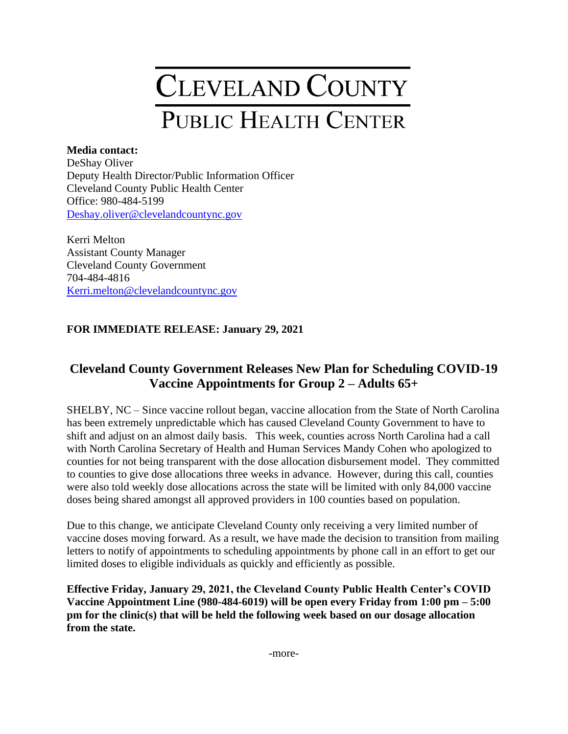## CLEVELAND COUNTY PUBLIC HEALTH CENTER

## **Media contact:**

DeShay Oliver Deputy Health Director/Public Information Officer Cleveland County Public Health Center Office: 980-484-5199 [Deshay.oliver@clevelandcountync.gov](mailto:Deshay.oliver@clevelandcountync.gov)

Kerri Melton Assistant County Manager Cleveland County Government 704-484-4816 [Kerri.melton@clevelandcountync.gov](mailto:Kerri.melton@clevelandcountync.gov)

## **FOR IMMEDIATE RELEASE: January 29, 2021**

## **Cleveland County Government Releases New Plan for Scheduling COVID-19 Vaccine Appointments for Group 2 – Adults 65+**

SHELBY, NC – Since vaccine rollout began, vaccine allocation from the State of North Carolina has been extremely unpredictable which has caused Cleveland County Government to have to shift and adjust on an almost daily basis. This week, counties across North Carolina had a call with North Carolina Secretary of Health and Human Services Mandy Cohen who apologized to counties for not being transparent with the dose allocation disbursement model. They committed to counties to give dose allocations three weeks in advance. However, during this call, counties were also told weekly dose allocations across the state will be limited with only 84,000 vaccine doses being shared amongst all approved providers in 100 counties based on population.

Due to this change, we anticipate Cleveland County only receiving a very limited number of vaccine doses moving forward. As a result, we have made the decision to transition from mailing letters to notify of appointments to scheduling appointments by phone call in an effort to get our limited doses to eligible individuals as quickly and efficiently as possible.

**Effective Friday, January 29, 2021, the Cleveland County Public Health Center's COVID Vaccine Appointment Line (980-484-6019) will be open every Friday from 1:00 pm – 5:00 pm for the clinic(s) that will be held the following week based on our dosage allocation from the state.**